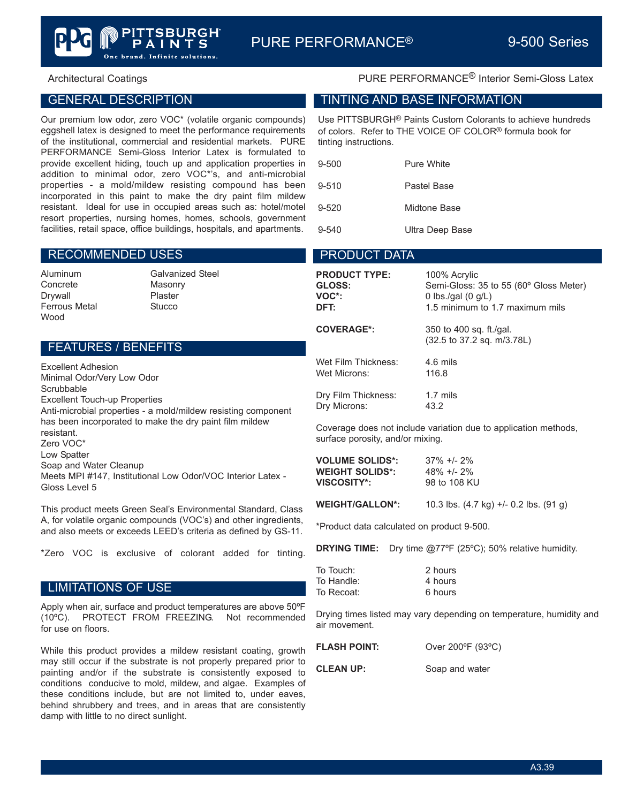# GENERAL DESCRIPTION

Our premium low odor, zero VOC\* (volatile organic compounds) eggshell latex is designed to meet the performance requirements of the institutional, commercial and residential markets. PURE PERFORMANCE Semi-Gloss Interior Latex is formulated to provide excellent hiding, touch up and application properties in addition to minimal odor, zero VOC\*'s, and anti-microbial properties - a mold/mildew resisting compound has been incorporated in this paint to make the dry paint film mildew resistant. Ideal for use in occupied areas such as: hotel/motel resort properties, nursing homes, homes, schools, government facilities, retail space, office buildings, hospitals, and apartments.

and. Infinite solutions.

 $\mathbf S$ 

#### RECOMMENDED USES

Concrete Masonry Drywall Plaster Ferrous Metal Stucco Wood

Aluminum Galvanized Steel

# FEATURES / BENEFITS

Excellent Adhesion Minimal Odor/Very Low Odor **Scrubbable** Excellent Touch-up Properties Anti-microbial properties - a mold/mildew resisting component has been incorporated to make the dry paint film mildew resistant. Zero VOC\* Low Spatter Soap and Water Cleanup Meets MPI #147, Institutional Low Odor/VOC Interior Latex - Gloss Level 5

This product meets Green Seal's Environmental Standard, Class A, for volatile organic compounds (VOC's) and other ingredients, and also meets or exceeds LEED's criteria as defined by GS-11.

\*Zero VOC is exclusive of colorant added for tinting.

### LIMITATIONS OF USE

Apply when air, surface and product temperatures are above 50ºF (10ºC). PROTECT FROM FREEZING. Not recommended for use on floors.

While this product provides a mildew resistant coating, growth may still occur if the substrate is not properly prepared prior to painting and/or if the substrate is consistently exposed to conditions conducive to mold, mildew, and algae. Examples of these conditions include, but are not limited to, under eaves, behind shrubbery and trees, and in areas that are consistently damp with little to no direct sunlight.

# Architectural Coatings **PURE PERFORMANCE<sup>®</sup> Interior Semi-Gloss Latex**

#### TINTING AND BASE INFORMATION

Use PITTSBURGH® Paints Custom Colorants to achieve hundreds of colors. Refer to THE VOICE OF COLOR® formula book for tinting instructions.

| $9 - 500$ | Pure White      |  |
|-----------|-----------------|--|
| $9 - 510$ | Pastel Base     |  |
| $9 - 520$ | Midtone Base    |  |
| 9-540     | Ultra Deep Base |  |

# PRODUCT DATA

| <b>PRODUCT TYPE:</b> | 100% Acrylic                                          |
|----------------------|-------------------------------------------------------|
| GLOSS:               | Semi-Gloss: 35 to 55 (60° Gloss Meter)                |
| VOC*:                | 0 lbs./gal $(0 g/L)$                                  |
| DFT:                 | 1.5 minimum to 1.7 maximum mils                       |
| <b>COVERAGE*:</b>    | 350 to 400 sq. ft./gal.<br>(32.5 to 37.2 sq. m/3.78L) |
| Wet Film Thickness:  | 4.6 mils                                              |
| Wet Microns:         | 116.8                                                 |
| Dry Film Thickness:  | $1.7$ mils                                            |
| Dry Microns:         | 43.2                                                  |

Coverage does not include variation due to application methods, surface porosity, and/or mixing.

| <b>VOLUME SOLIDS*:</b> | $37\% +1 - 2\%$ |
|------------------------|-----------------|
| <b>WEIGHT SOLIDS*:</b> | $48\% +12\%$    |
| VISCOSITY*:            | 98 to 108 KU    |

**WEIGHT/GALLON\*:** 10.3 lbs. (4.7 kg) +/- 0.2 lbs. (91 g)

\*Product data calculated on product 9-500.

**DRYING TIME:** Dry time @77ºF (25ºC); 50% relative humidity.

| To Touch:  | 2 hours |
|------------|---------|
| To Handle: | 4 hours |
| To Recoat: | 6 hours |

Drying times listed may vary depending on temperature, humidity and air movement.

| <b>FLASH POINT:</b> | Over 200°F (93°C) |
|---------------------|-------------------|
| <b>CLEAN UP:</b>    | Soap and water    |